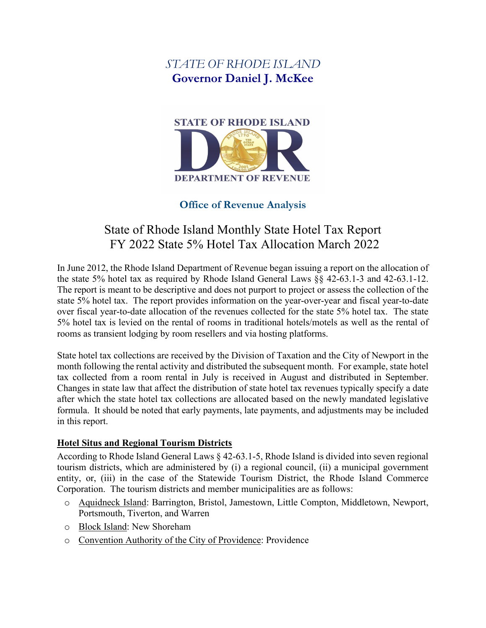## *STATE OF RHODE ISLAND* **Governor Daniel J. McKee**



## **Office of Revenue Analysis**

# State of Rhode Island Monthly State Hotel Tax Report FY 2022 State 5% Hotel Tax Allocation March 2022

In June 2012, the Rhode Island Department of Revenue began issuing a report on the allocation of the state 5% hotel tax as required by Rhode Island General Laws §§ 42-63.1-3 and 42-63.1-12. The report is meant to be descriptive and does not purport to project or assess the collection of the state 5% hotel tax. The report provides information on the year-over-year and fiscal year-to-date over fiscal year-to-date allocation of the revenues collected for the state 5% hotel tax. The state 5% hotel tax is levied on the rental of rooms in traditional hotels/motels as well as the rental of rooms as transient lodging by room resellers and via hosting platforms.

State hotel tax collections are received by the Division of Taxation and the City of Newport in the month following the rental activity and distributed the subsequent month. For example, state hotel tax collected from a room rental in July is received in August and distributed in September. Changes in state law that affect the distribution of state hotel tax revenues typically specify a date after which the state hotel tax collections are allocated based on the newly mandated legislative formula. It should be noted that early payments, late payments, and adjustments may be included in this report.

## **Hotel Situs and Regional Tourism Districts**

According to Rhode Island General Laws § 42-63.1-5, Rhode Island is divided into seven regional tourism districts, which are administered by (i) a regional council, (ii) a municipal government entity, or, (iii) in the case of the Statewide Tourism District, the Rhode Island Commerce Corporation. The tourism districts and member municipalities are as follows:

- o Aquidneck Island: Barrington, Bristol, Jamestown, Little Compton, Middletown, Newport, Portsmouth, Tiverton, and Warren
- o Block Island: New Shoreham
- o Convention Authority of the City of Providence: Providence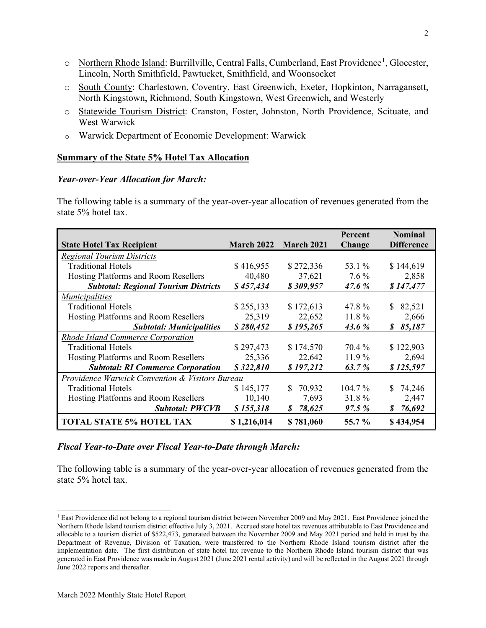- o Northern Rhode Island: Burrillville, Central Falls, Cumberland, East Providence<sup>[1](#page-1-0)</sup>, Glocester, Lincoln, North Smithfield, Pawtucket, Smithfield, and Woonsocket
- o South County: Charlestown, Coventry, East Greenwich, Exeter, Hopkinton, Narragansett, North Kingstown, Richmond, South Kingstown, West Greenwich, and Westerly
- o Statewide Tourism District: Cranston, Foster, Johnston, North Providence, Scituate, and West Warwick
- o Warwick Department of Economic Development: Warwick

## **Summary of the State 5% Hotel Tax Allocation**

### *Year-over-Year Allocation for March:*

The following table is a summary of the year-over-year allocation of revenues generated from the state 5% hotel tax.

| <b>State Hotel Tax Recipient</b>                           | March 2022  | <b>March 2021</b> | Percent<br>Change | <b>Nominal</b><br><b>Difference</b> |
|------------------------------------------------------------|-------------|-------------------|-------------------|-------------------------------------|
| <b>Regional Tourism Districts</b>                          |             |                   |                   |                                     |
| <b>Traditional Hotels</b>                                  | \$416,955   | \$272,336         | 53.1 %            | \$144,619                           |
| Hosting Platforms and Room Resellers                       | 40,480      | 37,621            | $7.6\%$           | 2,858                               |
| <b>Subtotal: Regional Tourism Districts</b>                | \$457,434   | \$309,957         | 47.6 %            | \$147,477                           |
| <i>Municipalities</i>                                      |             |                   |                   |                                     |
| <b>Traditional Hotels</b>                                  | \$255,133   | \$172,613         | 47.8%             | \$<br>82,521                        |
| Hosting Platforms and Room Resellers                       | 25,319      | 22,652            | 11.8%             | 2,666                               |
| <b>Subtotal: Municipalities</b>                            | \$280,452   | \$195,265         | 43.6 %            | 85,187<br>S                         |
| <b>Rhode Island Commerce Corporation</b>                   |             |                   |                   |                                     |
| <b>Traditional Hotels</b>                                  | \$297,473   | \$174,570         | 70.4 %            | \$122,903                           |
| Hosting Platforms and Room Resellers                       | 25,336      | 22,642            | $11.9\%$          | 2,694                               |
| <b>Subtotal: RI Commerce Corporation</b>                   | \$322,810   | \$197,212         | 63.7%             | \$125,597                           |
| <b>Providence Warwick Convention &amp; Visitors Bureau</b> |             |                   |                   |                                     |
| <b>Traditional Hotels</b>                                  | \$145,177   | \$<br>70,932      | $104.7\%$         | 74,246<br>\$                        |
| Hosting Platforms and Room Resellers                       | 10,140      | 7,693             | 31.8%             | 2,447                               |
| <b>Subtotal: PWCVB</b>                                     | \$155,318   | 78,625<br>S       | 97.5 %            | 76,692<br>S                         |
| <b>TOTAL STATE 5% HOTEL TAX</b>                            | \$1,216,014 | \$781,060         | 55.7 %            | \$434,954                           |

## *Fiscal Year-to-Date over Fiscal Year-to-Date through March:*

The following table is a summary of the year-over-year allocation of revenues generated from the state 5% hotel tax.

<span id="page-1-0"></span><sup>&</sup>lt;sup>1</sup> East Providence did not belong to a regional tourism district between November 2009 and May 2021. East Providence joined the Northern Rhode Island tourism district effective July 3, 2021. Accrued state hotel tax revenues attributable to East Providence and allocable to a tourism district of \$522,473, generated between the November 2009 and May 2021 period and held in trust by the Department of Revenue, Division of Taxation, were transferred to the Northern Rhode Island tourism district after the implementation date. The first distribution of state hotel tax revenue to the Northern Rhode Island tourism district that was generated in East Providence was made in August 2021 (June 2021 rental activity) and will be reflected in the August 2021 through June 2022 reports and thereafter.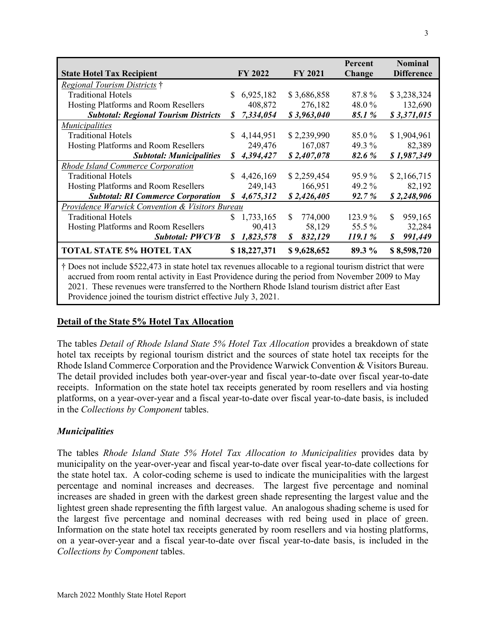|                                                                                                                                                                                                                 |     |              |     |                | Percent |    | <b>Nominal</b>    |
|-----------------------------------------------------------------------------------------------------------------------------------------------------------------------------------------------------------------|-----|--------------|-----|----------------|---------|----|-------------------|
| <b>State Hotel Tax Recipient</b>                                                                                                                                                                                |     | FY 2022      |     | <b>FY 2021</b> | Change  |    | <b>Difference</b> |
| <i>Regional Tourism Districts</i> †                                                                                                                                                                             |     |              |     |                |         |    |                   |
| <b>Traditional Hotels</b>                                                                                                                                                                                       | \$. | 6,925,182    |     | \$3,686,858    | 87.8%   |    | \$3,238,324       |
| Hosting Platforms and Room Resellers                                                                                                                                                                            |     | 408,872      |     | 276,182        | 48.0%   |    | 132,690           |
| <b>Subtotal: Regional Tourism Districts</b>                                                                                                                                                                     | S   | 7,334,054    |     | \$3,963,040    | 85.1%   |    | \$3,371,015       |
| <i>Municipalities</i>                                                                                                                                                                                           |     |              |     |                |         |    |                   |
| <b>Traditional Hotels</b>                                                                                                                                                                                       | S.  | 4,144,951    |     | \$2,239,990    | 85.0%   |    | \$1,904,961       |
| Hosting Platforms and Room Resellers                                                                                                                                                                            |     | 249,476      |     | 167,087        | 49.3 %  |    | 82,389            |
| <b>Subtotal: Municipalities</b>                                                                                                                                                                                 |     | \$4,394,427  |     | \$2,407,078    | 82.6%   |    | \$1,987,349       |
| <b>Rhode Island Commerce Corporation</b>                                                                                                                                                                        |     |              |     |                |         |    |                   |
| <b>Traditional Hotels</b>                                                                                                                                                                                       | S.  | 4,426,169    |     | \$2,259,454    | 95.9%   |    | \$2,166,715       |
| Hosting Platforms and Room Resellers                                                                                                                                                                            |     | 249,143      |     | 166,951        | 49.2 %  |    | 82,192            |
| <b>Subtotal: RI Commerce Corporation</b>                                                                                                                                                                        | S   | 4,675,312    |     | \$2,426,405    | 92.7%   |    | \$2,248,906       |
| <b>Providence Warwick Convention &amp; Visitors Bureau</b>                                                                                                                                                      |     |              |     |                |         |    |                   |
| <b>Traditional Hotels</b>                                                                                                                                                                                       | \$  | 1,733,165    | \$. | 774,000        | 123.9%  | \$ | 959,165           |
| Hosting Platforms and Room Resellers                                                                                                                                                                            |     | 90,413       |     | 58,129         | 55.5 %  |    | 32,284            |
| <b>Subtotal: PWCVB</b>                                                                                                                                                                                          | \$  | 1,823,578    | \$  | 832,129        | 119.1 % | S  | 991,449           |
| <b>TOTAL STATE 5% HOTEL TAX</b>                                                                                                                                                                                 |     | \$18,227,371 |     | \$9,628,652    | 89.3 %  |    | \$8,598,720       |
| † Does not include \$522,473 in state hotel tax revenues allocable to a regional tourism district that were<br>accrued from room rental activity in East Providence during the period from November 2009 to May |     |              |     |                |         |    |                   |

accrued from room rental activity in East Providence during the period from November 2009 to May 2021. These revenues were transferred to the Northern Rhode Island tourism district after East Providence joined the tourism district effective July 3, 2021.

## **Detail of the State 5% Hotel Tax Allocation**

The tables *Detail of Rhode Island State 5% Hotel Tax Allocation* provides a breakdown of state hotel tax receipts by regional tourism district and the sources of state hotel tax receipts for the Rhode Island Commerce Corporation and the Providence Warwick Convention & Visitors Bureau. The detail provided includes both year-over-year and fiscal year-to-date over fiscal year-to-date receipts. Information on the state hotel tax receipts generated by room resellers and via hosting platforms, on a year-over-year and a fiscal year-to-date over fiscal year-to-date basis, is included in the *Collections by Component* tables.

## *Municipalities*

The tables *Rhode Island State 5% Hotel Tax Allocation to Municipalities* provides data by municipality on the year-over-year and fiscal year-to-date over fiscal year-to-date collections for the state hotel tax. A color-coding scheme is used to indicate the municipalities with the largest percentage and nominal increases and decreases. The largest five percentage and nominal increases are shaded in green with the darkest green shade representing the largest value and the lightest green shade representing the fifth largest value. An analogous shading scheme is used for the largest five percentage and nominal decreases with red being used in place of green. Information on the state hotel tax receipts generated by room resellers and via hosting platforms, on a year-over-year and a fiscal year-to-date over fiscal year-to-date basis, is included in the *Collections by Component* tables.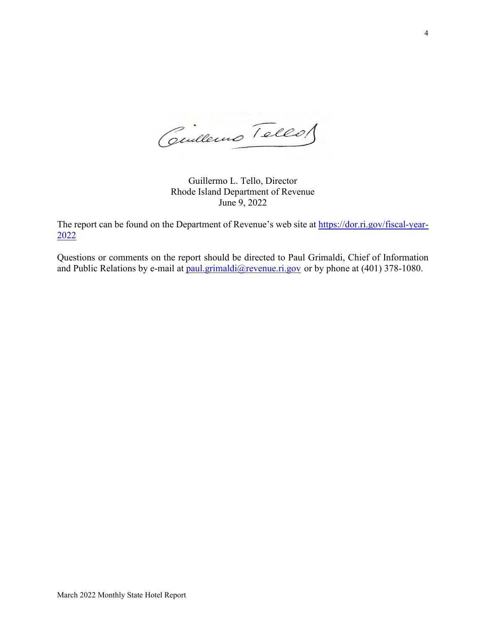Cilleurs Tellos

Guillermo L. Tello, Director Rhode Island Department of Revenue June 9, 2022

The report can be found on the Department of Revenue's web site at [https://dor.ri.gov/fiscal-year-](https://dor.ri.gov/fiscal-year-2022)[2022](https://dor.ri.gov/fiscal-year-2022)

Questions or comments on the report should be directed to Paul Grimaldi, Chief of Information and Public Relations by e-mail at [paul.grimaldi@revenue.ri.gov](mailto:paul.grimaldi@revenue.ri.gov) or by phone at (401) 378-1080.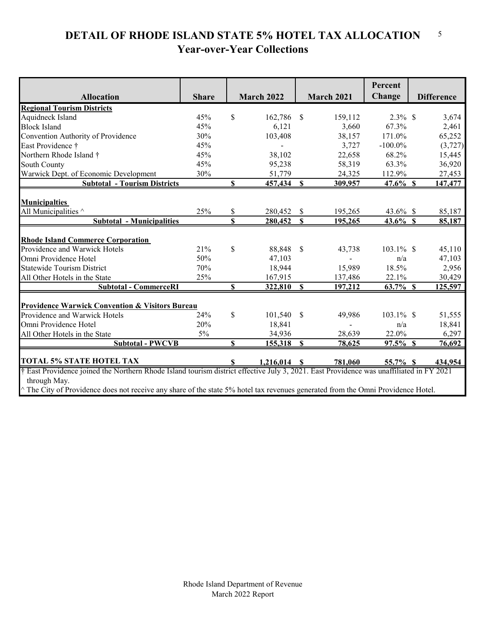#### **DETAIL OF RHODE ISLAND STATE 5% HOTEL TAX ALLOCATION Year-over-Year Collections** 5

|                                                                                                                                                         |              |              |                   |              |                   | Percent      |                   |
|---------------------------------------------------------------------------------------------------------------------------------------------------------|--------------|--------------|-------------------|--------------|-------------------|--------------|-------------------|
|                                                                                                                                                         |              |              |                   |              |                   | Change       |                   |
| <b>Allocation</b>                                                                                                                                       | <b>Share</b> |              | <b>March 2022</b> |              | <b>March 2021</b> |              | <b>Difference</b> |
| <b>Regional Tourism Districts</b>                                                                                                                       |              |              |                   |              |                   |              |                   |
| Aquidneck Island                                                                                                                                        | 45%          | $\mathbb{S}$ | 162,786           | \$           | 159,112           | $2.3\%$ \$   | 3,674             |
| <b>Block Island</b>                                                                                                                                     | 45%          |              | 6,121             |              | 3,660             | 67.3%        | 2,461             |
| Convention Authority of Providence                                                                                                                      | 30%          |              | 103,408           |              | 38,157            | 171.0%       | 65,252            |
| East Providence †                                                                                                                                       | 45%          |              | $\blacksquare$    |              | 3,727             | $-100.0\%$   | (3,727)           |
| Northern Rhode Island †                                                                                                                                 | 45%          |              | 38,102            |              | 22,658            | 68.2%        | 15,445            |
| South County                                                                                                                                            | 45%          |              | 95,238            |              | 58,319            | 63.3%        | 36,920            |
| Warwick Dept. of Economic Development                                                                                                                   | 30%          |              | 51,779            |              | 24,325            | 112.9%       | 27,453            |
| <b>Subtotal - Tourism Districts</b>                                                                                                                     |              | \$           | 457,434           | $\mathbf S$  | 309,957           | $47.6\%$ \$  | 147,477           |
|                                                                                                                                                         |              |              |                   |              |                   |              |                   |
| <b>Municipalties</b>                                                                                                                                    |              |              |                   |              |                   |              |                   |
| All Municipalities ^                                                                                                                                    | 25%          | \$           | 280,452           | \$           | 195,265           | 43.6% \$     | 85,187            |
| <b>Subtotal - Municipalities</b>                                                                                                                        |              | \$           | 280,452           | $\mathbf S$  | 195,265           | $43.6\%$ \$  | 85,187            |
| <b>Rhode Island Commerce Corporation</b>                                                                                                                |              |              |                   |              |                   |              |                   |
| Providence and Warwick Hotels                                                                                                                           | 21%          | $\mathbb{S}$ | 88,848            | $\mathbb{S}$ | 43,738            | 103.1% \$    | 45,110            |
| Omni Providence Hotel                                                                                                                                   | 50%          |              | 47,103            |              |                   | n/a          | 47,103            |
| <b>Statewide Tourism District</b>                                                                                                                       | 70%          |              | 18,944            |              | 15,989            | 18.5%        | 2,956             |
| All Other Hotels in the State                                                                                                                           | 25%          |              | 167,915           |              | 137,486           | 22.1%        | 30,429            |
| <b>Subtotal - CommerceRI</b>                                                                                                                            |              | $\mathbf S$  | 322,810           | $\mathbf S$  | 197,212           | 63.7% \$     | 125,597           |
|                                                                                                                                                         |              |              |                   |              |                   |              |                   |
| <b>Providence Warwick Convention &amp; Visitors Bureau</b>                                                                                              |              |              |                   |              |                   |              |                   |
| Providence and Warwick Hotels                                                                                                                           | 24%          | \$           | 101,540           | \$           | 49,986            | $103.1\%$ \$ | 51,555            |
| Omni Providence Hotel                                                                                                                                   | 20%          |              | 18,841            |              |                   | n/a          | 18,841            |
| All Other Hotels in the State                                                                                                                           | $5\%$        |              | 34,936            |              | 28,639            | 22.0%        | 6,297             |
| <b>Subtotal - PWCVB</b>                                                                                                                                 |              | $\mathbf{S}$ | 155,318           | $\mathbf S$  | 78,625            | $97.5\%$ \$  | 76,692            |
|                                                                                                                                                         |              |              |                   |              |                   |              |                   |
| <b>TOTAL 5% STATE HOTEL TAX</b>                                                                                                                         |              | S            | $1,216,014$ \$    |              | 781,060           | 55.7% \$     | 434,954           |
| † East Providence joined the Northern Rhode Island tourism district effective July 3, 2021. East Providence was unaffiliated in FY 2021<br>through May. |              |              |                   |              |                   |              |                   |
| The City of Providence does not receive any share of the state 5% hotel tax revenues generated from the Omni Providence Hotel.                          |              |              |                   |              |                   |              |                   |
|                                                                                                                                                         |              |              |                   |              |                   |              |                   |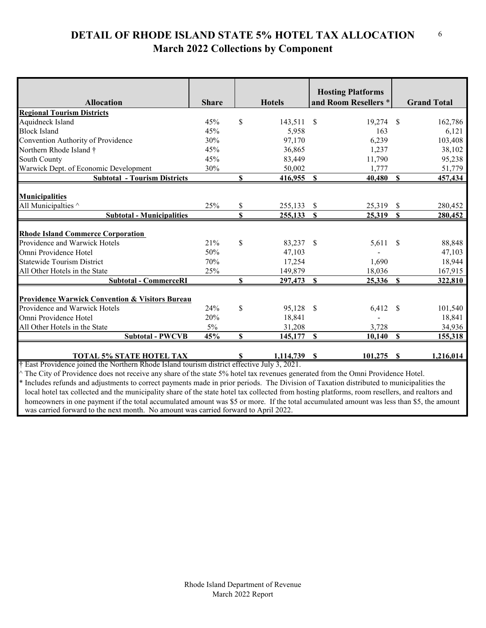#### **DETAIL OF RHODE ISLAND STATE 5% HOTEL TAX ALLOCATION March 2022 Collections by Component** 6

|                                                            |                            |                      |                                                                                                                                                                      |                                           | <b>Grand Total</b>                                                                                                                                                                                                              |
|------------------------------------------------------------|----------------------------|----------------------|----------------------------------------------------------------------------------------------------------------------------------------------------------------------|-------------------------------------------|---------------------------------------------------------------------------------------------------------------------------------------------------------------------------------------------------------------------------------|
|                                                            |                            |                      |                                                                                                                                                                      |                                           |                                                                                                                                                                                                                                 |
| 45%                                                        |                            |                      | <sup>S</sup>                                                                                                                                                         | -\$                                       | 162,786                                                                                                                                                                                                                         |
| 45%                                                        |                            | 5,958                |                                                                                                                                                                      |                                           | 6,121                                                                                                                                                                                                                           |
| 30%                                                        |                            | 97,170               |                                                                                                                                                                      |                                           | 103,408                                                                                                                                                                                                                         |
| 45%                                                        |                            | 36,865               |                                                                                                                                                                      |                                           | 38,102                                                                                                                                                                                                                          |
| 45%                                                        |                            | 83,449               |                                                                                                                                                                      |                                           | 95,238                                                                                                                                                                                                                          |
| 30%                                                        |                            | 50,002               |                                                                                                                                                                      |                                           | 51,779                                                                                                                                                                                                                          |
|                                                            | \$                         | 416,955              | $\mathbf{s}$                                                                                                                                                         | $\mathbf{s}$                              | 457,434                                                                                                                                                                                                                         |
|                                                            |                            |                      |                                                                                                                                                                      |                                           |                                                                                                                                                                                                                                 |
|                                                            |                            |                      |                                                                                                                                                                      |                                           |                                                                                                                                                                                                                                 |
|                                                            |                            |                      |                                                                                                                                                                      |                                           | 280,452                                                                                                                                                                                                                         |
|                                                            |                            |                      |                                                                                                                                                                      |                                           | 280,452                                                                                                                                                                                                                         |
|                                                            |                            |                      |                                                                                                                                                                      |                                           |                                                                                                                                                                                                                                 |
| 21%                                                        | \$                         | 83,237               | <sup>\$</sup>                                                                                                                                                        | <sup>\$</sup>                             | 88,848                                                                                                                                                                                                                          |
| 50%                                                        |                            | 47,103               |                                                                                                                                                                      |                                           | 47,103                                                                                                                                                                                                                          |
| 70%                                                        |                            | 17,254               |                                                                                                                                                                      |                                           | 18,944                                                                                                                                                                                                                          |
| 25%                                                        |                            | 149,879              |                                                                                                                                                                      |                                           | 167,915                                                                                                                                                                                                                         |
|                                                            | $\mathbf{s}$               | 297,473              | $\mathbf{s}$                                                                                                                                                         | $\mathbf{s}$                              | 322,810                                                                                                                                                                                                                         |
|                                                            |                            |                      |                                                                                                                                                                      |                                           |                                                                                                                                                                                                                                 |
| <b>Providence Warwick Convention &amp; Visitors Bureau</b> |                            |                      |                                                                                                                                                                      |                                           |                                                                                                                                                                                                                                 |
| 24%                                                        |                            |                      | <sup>\$</sup>                                                                                                                                                        | S                                         | 101,540                                                                                                                                                                                                                         |
|                                                            |                            | 18,841               |                                                                                                                                                                      |                                           | 18,841                                                                                                                                                                                                                          |
| 5%                                                         |                            | 31,208               |                                                                                                                                                                      |                                           | 34,936                                                                                                                                                                                                                          |
| 45%                                                        | \$                         | 145,177              | $\mathbf S$                                                                                                                                                          | $\mathbf S$                               | 155,318                                                                                                                                                                                                                         |
|                                                            |                            |                      |                                                                                                                                                                      |                                           |                                                                                                                                                                                                                                 |
|                                                            |                            |                      |                                                                                                                                                                      |                                           | 1,216,014                                                                                                                                                                                                                       |
|                                                            | <b>Share</b><br>25%<br>20% | \$<br>\$<br>\$<br>\$ | <b>Hotels</b><br>143,511<br>255,133<br>255,133<br>95,128<br>1,114,739<br>† East Providence joined the Northern Rhode Island tourism district effective July 3, 2021. | <b>Hosting Platforms</b><br>\$<br>\$<br>S | and Room Resellers *<br>19,274<br>163<br>6,239<br>1,237<br>11,790<br>1,777<br>40,480<br>25,319<br>\$<br>25,319<br>$\boldsymbol{\mathsf{S}}$<br>5,611<br>1,690<br>18,036<br>25,336<br>6,412<br>3,728<br>10,140<br>101,275<br>-SS |

The City of Providence does not receive any share of the state 5% hotel tax revenues generated from the Omni Providence Hotel.

\* Includes refunds and adjustments to correct payments made in prior periods. The Division of Taxation distributed to municipalities the local hotel tax collected and the municipality share of the state hotel tax collected from hosting platforms, room resellers, and realtors and homeowners in one payment if the total accumulated amount was \$5 or more. If the total accumulated amount was less than \$5, the amount was carried forward to the next month. No amount was carried forward to April 2022.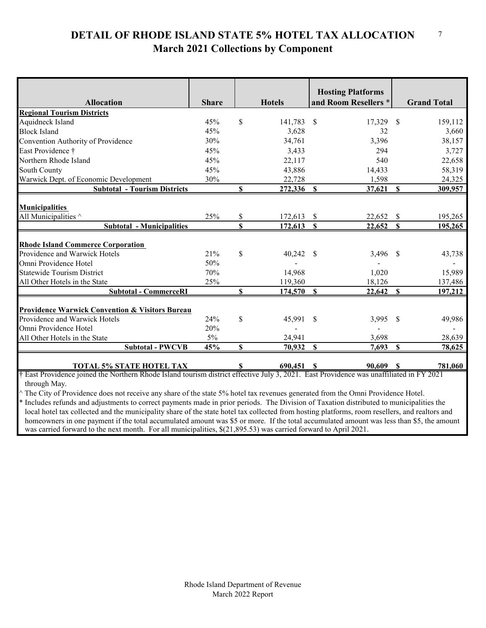#### **DETAIL OF RHODE ISLAND STATE 5% HOTEL TAX ALLOCATION March 2021 Collections by Component** 7

|                                                                                                                                         |              |             |               | <b>Hosting Platforms</b> |               |                    |
|-----------------------------------------------------------------------------------------------------------------------------------------|--------------|-------------|---------------|--------------------------|---------------|--------------------|
| <b>Allocation</b>                                                                                                                       | <b>Share</b> |             | <b>Hotels</b> | and Room Resellers *     |               | <b>Grand Total</b> |
| <b>Regional Tourism Districts</b>                                                                                                       |              |             |               |                          |               |                    |
| Aquidneck Island                                                                                                                        | 45%          | \$          | 141,783       | $\mathbb{S}$<br>17,329   | $\mathbb{S}$  | 159,112            |
| <b>Block Island</b>                                                                                                                     | 45%          |             | 3,628         | 32                       |               | 3,660              |
| Convention Authority of Providence                                                                                                      | 30%          |             | 34,761        | 3,396                    |               | 38,157             |
| East Providence †                                                                                                                       | 45%          |             | 3,433         | 294                      |               | 3,727              |
| Northern Rhode Island                                                                                                                   | 45%          |             | 22,117        | 540                      |               | 22,658             |
| <b>South County</b>                                                                                                                     | 45%          |             | 43,886        | 14,433                   |               | 58,319             |
| Warwick Dept. of Economic Development                                                                                                   | 30%          |             | 22,728        | 1,598                    |               | 24,325             |
| <b>Subtotal - Tourism Districts</b>                                                                                                     |              | \$          | 272,336       | S<br>37,621              | S             | 309,957            |
|                                                                                                                                         |              |             |               |                          |               |                    |
| <b>Municipalities</b>                                                                                                                   |              |             |               |                          |               |                    |
| All Municipalities ^                                                                                                                    | 25%          | \$          | 172,613       | <sup>S</sup><br>22,652   | $\mathcal{S}$ | 195,265            |
| <b>Subtotal - Municipalities</b>                                                                                                        |              | S           | 172,613       | $\mathbf{s}$<br>22,652   | $\mathbf S$   | 195,265            |
|                                                                                                                                         |              |             |               |                          |               |                    |
| <b>Rhode Island Commerce Corporation</b>                                                                                                |              |             |               |                          |               |                    |
| Providence and Warwick Hotels                                                                                                           | 21%          | \$          | 40,242        | 3,496<br><sup>S</sup>    | -\$           | 43,738             |
| Omni Providence Hotel                                                                                                                   | 50%          |             |               |                          |               |                    |
| <b>Statewide Tourism District</b>                                                                                                       | 70%          |             | 14,968        | 1,020                    |               | 15,989             |
| All Other Hotels in the State                                                                                                           | 25%          |             | 119,360       | 18,126                   |               | 137,486            |
| <b>Subtotal - CommerceRI</b>                                                                                                            |              | \$          | 174,570       | $\mathbf{s}$<br>22,642   | $\mathbf S$   | 197,212            |
|                                                                                                                                         |              |             |               |                          |               |                    |
| <b>Providence Warwick Convention &amp; Visitors Bureau</b>                                                                              |              |             |               |                          |               |                    |
| Providence and Warwick Hotels                                                                                                           | 24%          | \$          | 45,991        | <sup>\$</sup><br>3,995   | \$            | 49,986             |
| Omni Providence Hotel                                                                                                                   | 20%          |             |               |                          |               |                    |
| All Other Hotels in the State                                                                                                           | $5\%$        |             | 24,941        | 3,698                    |               | 28,639             |
| <b>Subtotal - PWCVB</b>                                                                                                                 | 45%          | $\mathbf S$ | 70,932        | $\mathbf S$<br>7,693     | $\mathbf S$   | 78,625             |
|                                                                                                                                         |              |             |               |                          |               |                    |
| <b>TOTAL 5% STATE HOTEL TAX</b>                                                                                                         |              |             | 690,451       | 90.609                   |               | 781,060            |
| † East Providence joined the Northern Rhode Island tourism district effective July 3, 2021. East Providence was unaffiliated in FY 2021 |              |             |               |                          |               |                    |
| through May.                                                                                                                            |              |             |               |                          |               |                    |

^ The City of Providence does not receive any share of the state 5% hotel tax revenues generated from the Omni Providence Hotel.

Includes refunds and adjustments to correct payments made in prior periods. The Division of Taxation distributed to municipalities the local hotel tax collected and the municipality share of the state hotel tax collected from hosting platforms, room resellers, and realtors and homeowners in one payment if the total accumulated amount was \$5 or more. If the total accumulated amount was less than \$5, the amount was carried forward to the next month. For all municipalities, \$(21,895.53) was carried forward to April 2021.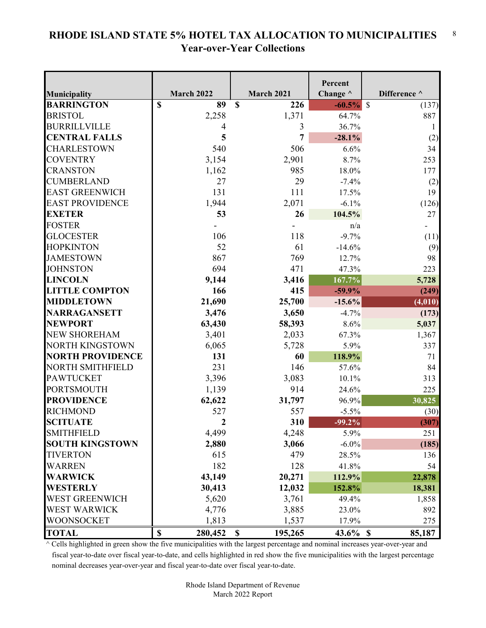#### **RHODE ISLAND STATE 5% HOTEL TAX ALLOCATION TO MUNICIPALITIES Year-over-Year Collections** 8

|                         |                                      |                    | Percent         |                        |
|-------------------------|--------------------------------------|--------------------|-----------------|------------------------|
| Municipality            | <b>March 2022</b>                    | <b>March 2021</b>  | Change $\wedge$ | Difference ^           |
| <b>BARRINGTON</b>       | $\mathbf S$<br>89                    | $\mathbf S$<br>226 | $-60.5%$        | $\mathcal{S}$<br>(137) |
| <b>BRISTOL</b>          | 2,258                                | 1,371              | 64.7%           | 887                    |
| <b>BURRILLVILLE</b>     | 4                                    | 3                  | 36.7%           |                        |
| <b>CENTRAL FALLS</b>    | 5                                    | 7                  | $-28.1%$        | (2)                    |
| CHARLESTOWN             | 540                                  | 506                | 6.6%            | 34                     |
| <b>COVENTRY</b>         | 3,154                                | 2,901              | 8.7%            | 253                    |
| <b>CRANSTON</b>         | 1,162                                | 985                | 18.0%           | 177                    |
| <b>CUMBERLAND</b>       | 27                                   | 29                 | $-7.4%$         | (2)                    |
| <b>EAST GREENWICH</b>   | 131                                  | 111                | 17.5%           | 19                     |
| <b>EAST PROVIDENCE</b>  | 1,944                                | 2,071              | $-6.1%$         | (126)                  |
| <b>EXETER</b>           | 53                                   | 26                 | 104.5%          | 27                     |
| <b>FOSTER</b>           |                                      |                    | n/a             |                        |
| <b>GLOCESTER</b>        | 106                                  | 118                | $-9.7%$         | (11)                   |
| <b>HOPKINTON</b>        | 52                                   | 61                 | $-14.6%$        | (9)                    |
| <b>JAMESTOWN</b>        | 867                                  | 769                | 12.7%           | 98                     |
| <b>JOHNSTON</b>         | 694                                  | 471                | 47.3%           | 223                    |
| <b>LINCOLN</b>          | 9,144                                | 3,416              | 167.7%          | 5,728                  |
| <b>LITTLE COMPTON</b>   | 166                                  | 415                | $-59.9%$        | (249)                  |
| <b>MIDDLETOWN</b>       | 21,690                               | 25,700             | $-15.6%$        | (4, 010)               |
| <b>NARRAGANSETT</b>     | 3,476                                | 3,650              | $-4.7%$         | (173)                  |
| <b>NEWPORT</b>          | 63,430                               | 58,393             | 8.6%            | 5,037                  |
| <b>NEW SHOREHAM</b>     | 3,401                                | 2,033              | 67.3%           | 1,367                  |
| <b>NORTH KINGSTOWN</b>  | 6,065                                | 5,728              | 5.9%            | 337                    |
| <b>NORTH PROVIDENCE</b> | 131                                  | 60                 | 118.9%          | 71                     |
| <b>NORTH SMITHFIELD</b> | 231                                  | 146                | 57.6%           | 84                     |
| <b>PAWTUCKET</b>        | 3,396                                | 3,083              | 10.1%           | 313                    |
| <b>PORTSMOUTH</b>       | 1,139                                | 914                | 24.6%           | 225                    |
| <b>PROVIDENCE</b>       | 62,622                               | 31,797             | 96.9%           | 30,825                 |
| <b>RICHMOND</b>         | 527                                  | 557                | $-5.5\%$        | (30)                   |
| <b>SCITUATE</b>         | $\overline{2}$                       | 310                | $-99.2%$        | (307)                  |
| <b>SMITHFIELD</b>       | 4,499                                | 4,248              | 5.9%            | 251                    |
| <b>SOUTH KINGSTOWN</b>  | 2,880                                | 3,066              | $-6.0\%$        | (185)                  |
| <b>TIVERTON</b>         | 615                                  | 479                | 28.5%           | 136                    |
| <b>WARREN</b>           | 182                                  | 128                | 41.8%           | 54                     |
| <b>WARWICK</b>          | 43,149                               | 20,271             | 112.9%          | 22,878                 |
| <b>WESTERLY</b>         | 30,413                               | 12,032             | 152.8%          | 18,381                 |
| <b>WEST GREENWICH</b>   | 5,620                                | 3,761              | 49.4%           | 1,858                  |
| <b>WEST WARWICK</b>     | 4,776                                | 3,885              | 23.0%           | 892                    |
| WOONSOCKET              | 1,813                                | 1,537              | 17.9%           | 275                    |
| <b>TOTAL</b>            | $\boldsymbol{\mathsf{S}}$<br>280,452 | 195,265<br>\$      | $43.6\%$ \$     | 85,187                 |

 $^\wedge$  Cells highlighted in green show the five municipalities with the largest percentage and nominal increases year-over-year and fiscal year-to-date over fiscal year-to-date, and cells highlighted in red show the five municipalities with the largest percentage nominal decreases year-over-year and fiscal year-to-date over fiscal year-to-date.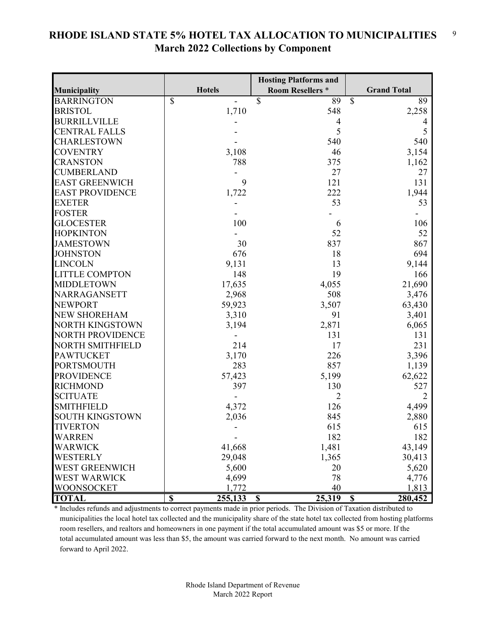#### **RHODE ISLAND STATE 5% HOTEL TAX ALLOCATION TO MUNICIPALITIES March 2022 Collections by Component** 9

|                         |               | <b>Hosting Platforms and</b>        |                        |
|-------------------------|---------------|-------------------------------------|------------------------|
| Municipality            | <b>Hotels</b> | <b>Room Resellers *</b>             | <b>Grand Total</b>     |
| <b>BARRINGTON</b>       | \$            | $\boldsymbol{\mathsf{S}}$<br>89     | $\mathcal{S}$<br>89    |
| <b>BRISTOL</b>          | 1,710         | 548                                 | 2,258                  |
| <b>BURRILLVILLE</b>     |               | $\overline{4}$                      |                        |
| <b>CENTRAL FALLS</b>    |               | 5                                   | 5                      |
| CHARLESTOWN             |               | 540                                 | 540                    |
| <b>COVENTRY</b>         | 3,108         | 46                                  | 3,154                  |
| CRANSTON                | 788           | 375                                 | 1,162                  |
| <b>CUMBERLAND</b>       |               | 27                                  | 27                     |
| <b>EAST GREENWICH</b>   | 9             | 121                                 | 131                    |
| <b>EAST PROVIDENCE</b>  | 1,722         | 222                                 | 1,944                  |
| <b>EXETER</b>           |               | 53                                  | 53                     |
| <b>FOSTER</b>           |               |                                     |                        |
| <b>GLOCESTER</b>        | 100           | 6                                   | 106                    |
| <b>HOPKINTON</b>        |               | 52                                  | 52                     |
| <b>JAMESTOWN</b>        | 30            | 837                                 | 867                    |
| <b>JOHNSTON</b>         | 676           | 18                                  | 694                    |
| <b>LINCOLN</b>          | 9,131         | 13                                  | 9,144                  |
| <b>LITTLE COMPTON</b>   | 148           | 19                                  | 166                    |
| <b>MIDDLETOWN</b>       | 17,635        | 4,055                               | 21,690                 |
| NARRAGANSETT            | 2,968         | 508                                 | 3,476                  |
| <b>NEWPORT</b>          | 59,923        | 3,507                               | 63,430                 |
| <b>NEW SHOREHAM</b>     | 3,310         | 91                                  | 3,401                  |
| <b>NORTH KINGSTOWN</b>  | 3,194         | 2,871                               | 6,065                  |
| <b>NORTH PROVIDENCE</b> |               | 131                                 | 131                    |
| <b>NORTH SMITHFIELD</b> | 214           | 17                                  | 231                    |
| <b>PAWTUCKET</b>        | 3,170         | 226                                 | 3,396                  |
| <b>PORTSMOUTH</b>       | 283           | 857                                 | 1,139                  |
| <b>PROVIDENCE</b>       | 57,423        | 5,199                               | 62,622                 |
| <b>RICHMOND</b>         | 397           | 130                                 | 527                    |
| <b>SCITUATE</b>         |               | $\overline{2}$                      | 2                      |
| <b>SMITHFIELD</b>       | 4,372         | 126                                 | 4,499                  |
| <b>SOUTH KINGSTOWN</b>  | 2,036         | 845                                 | 2,880                  |
| <b>TIVERTON</b>         |               | 615                                 | 615                    |
| WARREN                  |               | 182                                 | 182                    |
| <b>WARWICK</b>          | 41,668        | 1,481                               | 43,149                 |
| WESTERLY                | 29,048        | 1,365                               | 30,413                 |
| <b>WEST GREENWICH</b>   | 5,600         | 20                                  | 5,620                  |
| WEST WARWICK            | 4,699         | 78                                  | 4,776                  |
| WOONSOCKET              | 1,772         | 40                                  | 1,813                  |
| <b>TOTAL</b>            | \$<br>255,133 | 25,319<br>$\boldsymbol{\mathsf{S}}$ | 280,452<br>$\mathbf S$ |

\* Includes refunds and adjustments to correct payments made in prior periods. The Division of Taxation distributed to municipalities the local hotel tax collected and the municipality share of the state hotel tax collected from hosting platforms room resellers, and realtors and homeowners in one payment if the total accumulated amount was \$5 or more. If the total accumulated amount was less than \$5, the amount was carried forward to the next month. No amount was carried forward to April 2022.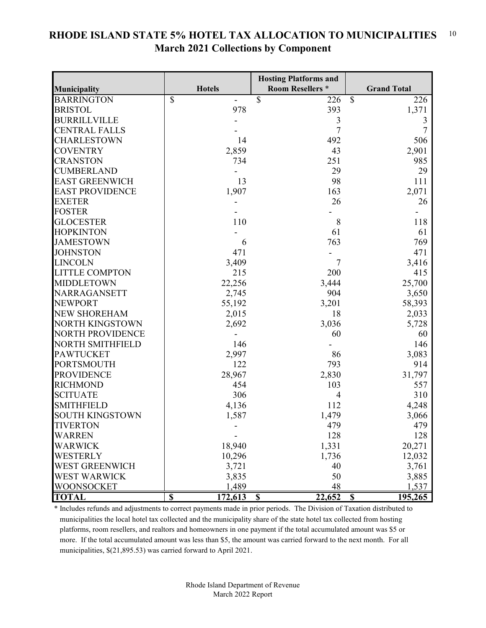|                         |                                    | <b>Hosting Platforms and</b> |                          |
|-------------------------|------------------------------------|------------------------------|--------------------------|
| Municipality            | <b>Hotels</b>                      | <b>Room Resellers *</b>      | <b>Grand Total</b>       |
| <b>BARRINGTON</b>       | \$                                 | \$<br>226                    | $\mathcal{S}$<br>226     |
| <b>BRISTOL</b>          | 978                                | 393                          | 1,371                    |
| <b>BURRILLVILLE</b>     |                                    | 3                            | 3                        |
| <b>CENTRAL FALLS</b>    |                                    | $\overline{7}$               | 7                        |
| <b>CHARLESTOWN</b>      | 14                                 | 492                          | 506                      |
| <b>COVENTRY</b>         | 2,859                              | 43                           | 2,901                    |
| <b>CRANSTON</b>         | 734                                | 251                          | 985                      |
| <b>CUMBERLAND</b>       |                                    | 29                           | 29                       |
| <b>EAST GREENWICH</b>   | 13                                 | 98                           | 111                      |
| <b>EAST PROVIDENCE</b>  | 1,907                              | 163                          | 2,071                    |
| <b>EXETER</b>           |                                    | 26                           | 26                       |
| <b>FOSTER</b>           |                                    |                              |                          |
| <b>GLOCESTER</b>        | 110                                | 8                            | 118                      |
| <b>HOPKINTON</b>        |                                    | 61                           | 61                       |
| <b>JAMESTOWN</b>        | 6                                  | 763                          | 769                      |
| <b>JOHNSTON</b>         | 471                                |                              | 471                      |
| <b>LINCOLN</b>          | 3,409                              | $\overline{7}$               | 3,416                    |
| <b>LITTLE COMPTON</b>   | 215                                | 200                          | 415                      |
| <b>MIDDLETOWN</b>       | 22,256                             | 3,444                        | 25,700                   |
| NARRAGANSETT            | 2,745                              | 904                          | 3,650                    |
| <b>NEWPORT</b>          | 55,192                             | 3,201                        | 58,393                   |
| <b>NEW SHOREHAM</b>     | 2,015                              | 18                           | 2,033                    |
| <b>NORTH KINGSTOWN</b>  | 2,692                              | 3,036                        | 5,728                    |
| <b>NORTH PROVIDENCE</b> |                                    | 60                           | 60                       |
| <b>NORTH SMITHFIELD</b> | 146                                |                              | 146                      |
| <b>PAWTUCKET</b>        | 2,997                              | 86                           | 3,083                    |
| <b>PORTSMOUTH</b>       | 122                                | 793                          | 914                      |
| <b>PROVIDENCE</b>       | 28,967                             | 2,830                        | 31,797                   |
| <b>RICHMOND</b>         | 454                                | 103                          | 557                      |
| <b>SCITUATE</b>         | 306                                | 4                            | 310                      |
| <b>SMITHFIELD</b>       | 4,136                              | 112                          | 4,248                    |
| <b>SOUTH KINGSTOWN</b>  | 1,587                              | 1,479                        | 3,066                    |
| <b>TIVERTON</b>         |                                    | 479                          | 479                      |
| <b>WARREN</b>           |                                    | 128                          | 128                      |
| <b>WARWICK</b>          | 18,940                             | 1,331                        | 20,271                   |
| WESTERLY                | 10,296                             | 1,736                        | 12,032                   |
| <b>WEST GREENWICH</b>   | 3,721                              | 40                           | 3,761                    |
| <b>WEST WARWICK</b>     | 3,835                              | 50                           | 3,885                    |
| <b>WOONSOCKET</b>       | 1,489                              | 48                           | 1,537                    |
| <b>TOTAL</b>            | $\overline{\mathbf{S}}$<br>172,613 | 22,652<br>$\mathbf S$        | 195,265<br>$\mathbf{\$}$ |

#### **RHODE ISLAND STATE 5% HOTEL TAX ALLOCATION TO MUNICIPALITIES March 2021 Collections by Component** 10

\* Includes refunds and adjustments to correct payments made in prior periods. The Division of Taxation distributed to municipalities the local hotel tax collected and the municipality share of the state hotel tax collected from hosting platforms, room resellers, and realtors and homeowners in one payment if the total accumulated amount was \$5 or more. If the total accumulated amount was less than \$5, the amount was carried forward to the next month. For all municipalities, \$(21,895.53) was carried forward to April 2021.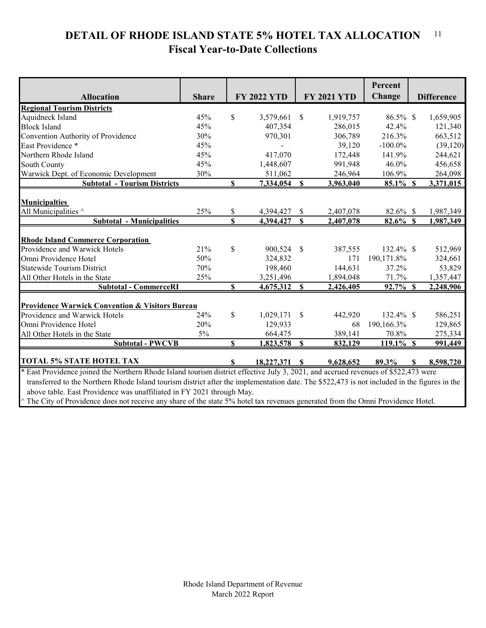#### **DETAIL OF RHODE ISLAND STATE 5% HOTEL TAX ALLOCATION Fiscal Year-to-Date Collections** 11

|                                                                                                                                              |              |               |                    |               |                    | Percent      |   |                   |
|----------------------------------------------------------------------------------------------------------------------------------------------|--------------|---------------|--------------------|---------------|--------------------|--------------|---|-------------------|
| <b>Allocation</b>                                                                                                                            | <b>Share</b> |               | <b>FY 2022 YTD</b> |               | <b>FY 2021 YTD</b> | Change       |   | <b>Difference</b> |
| <b>Regional Tourism Districts</b>                                                                                                            |              |               |                    |               |                    |              |   |                   |
| Aquidneck Island                                                                                                                             | 45%          | \$            | 3,579,661          | \$            | 1,919,757          | 86.5% \$     |   | 1,659,905         |
| <b>Block Island</b>                                                                                                                          | 45%          |               | 407,354            |               | 286,015            | 42.4%        |   | 121,340           |
| Convention Authority of Providence                                                                                                           | 30%          |               | 970,301            |               | 306,789            | 216.3%       |   | 663,512           |
| East Providence *                                                                                                                            | 45%          |               |                    |               | 39,120             | $-100.0\%$   |   | (39, 120)         |
| Northern Rhode Island                                                                                                                        | 45%          |               | 417,070            |               | 172,448            | 141.9%       |   | 244,621           |
| South County                                                                                                                                 | 45%          |               | 1,448,607          |               | 991,948            | 46.0%        |   | 456,658           |
| Warwick Dept. of Economic Development                                                                                                        | 30%          |               | 511,062            |               | 246,964            | 106.9%       |   | 264,098           |
| <b>Subtotal - Tourism Districts</b>                                                                                                          |              | $\mathbf S$   | 7,334,054          | \$            | 3,963,040          | $85.1\%$ \$  |   | 3,371,015         |
|                                                                                                                                              |              |               |                    |               |                    |              |   |                   |
| <b>Municipalties</b>                                                                                                                         |              |               |                    |               |                    |              |   |                   |
| All Municipalities $\wedge$                                                                                                                  | 25%          | \$            | 4,394,427          | \$            | 2,407,078          | 82.6% \$     |   | 1,987,349         |
| <b>Subtotal - Municipalities</b>                                                                                                             |              | \$            | 4,394,427          | \$.           | 2,407,078          | $82.6\%$ \$  |   | 1,987,349         |
|                                                                                                                                              |              |               |                    |               |                    |              |   |                   |
| <b>Rhode Island Commerce Corporation</b>                                                                                                     |              |               |                    |               |                    |              |   |                   |
| Providence and Warwick Hotels                                                                                                                | 21%          | $\mathcal{S}$ | 900,524            | \$            | 387,555            | 132.4% \$    |   | 512,969           |
| Omni Providence Hotel                                                                                                                        | 50%          |               | 324,832            |               | 171                | 190,171.8%   |   | 324,661           |
| <b>Statewide Tourism District</b>                                                                                                            | 70%          |               | 198,460            |               | 144,631            | 37.2%        |   | 53,829            |
| All Other Hotels in the State                                                                                                                | 25%          |               | 3,251,496          |               | 1,894,048          | 71.7%        |   | 1,357,447         |
| <b>Subtotal - CommerceRI</b>                                                                                                                 |              | \$            | 4,675,312          | \$            | 2,426,405          | 92.7% \$     |   | 2,248,906         |
| <b>Providence Warwick Convention &amp; Visitors Bureau</b>                                                                                   |              |               |                    |               |                    |              |   |                   |
| Providence and Warwick Hotels                                                                                                                | 24%          | $\mathcal{S}$ | 1,029,171          | <sup>\$</sup> | 442,920            | 132.4% \$    |   | 586,251           |
| Omni Providence Hotel                                                                                                                        | 20%          |               | 129,933            |               | 68                 | 190,166.3%   |   | 129,865           |
| All Other Hotels in the State                                                                                                                | 5%           |               | 664,475            |               | 389,141            | 70.8%        |   | 275,334           |
| <b>Subtotal - PWCVB</b>                                                                                                                      |              | $\mathbf{S}$  | 1,823,578          | $\mathbf S$   | 832,129            | $119.1\%$ \$ |   | 991,449           |
|                                                                                                                                              |              |               |                    |               |                    |              |   |                   |
| <b>TOTAL 5% STATE HOTEL TAX</b>                                                                                                              |              | S             | 18,227,371 \$      |               | 9,628,652          | 89.3%        | S | 8,598,720         |
| * East Providence joined the Northern Rhode Island tourism district effective July 3, 2021, and accrued revenues of \$522,473 were           |              |               |                    |               |                    |              |   |                   |
| transferred to the Northern Rhode Island tourism district after the implementation date. The \$522,473 is not included in the figures in the |              |               |                    |               |                    |              |   |                   |

above table. East Providence was unaffiliated in FY 2021 through May.

 $\wedge$  The City of Providence does not receive any share of the state 5% hotel tax revenues generated from the Omni Providence Hotel.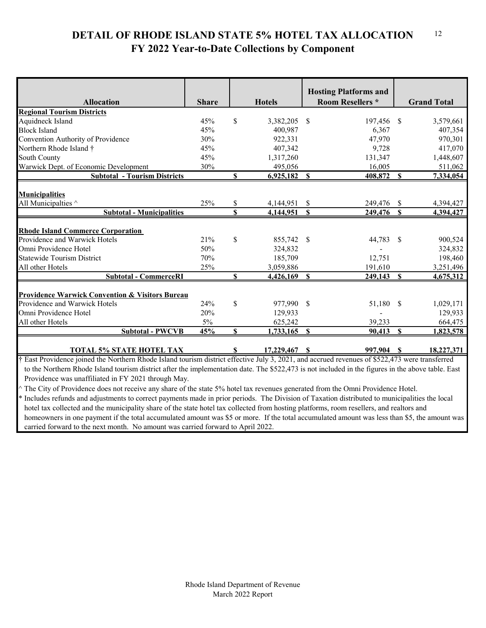#### **DETAIL OF RHODE ISLAND STATE 5% HOTEL TAX ALLOCATION FY 2022 Year-to-Date Collections by Component** 12

|                                                            |              |              |                | <b>Hosting Platforms and</b> |              |                    |
|------------------------------------------------------------|--------------|--------------|----------------|------------------------------|--------------|--------------------|
| <b>Allocation</b>                                          | <b>Share</b> |              | <b>Hotels</b>  | <b>Room Resellers *</b>      |              | <b>Grand Total</b> |
| <b>Regional Tourism Districts</b>                          |              |              |                |                              |              |                    |
| Aquidneck Island                                           | 45%          | $\mathbb{S}$ | 3,382,205      | 197,456<br><sup>S</sup>      | -S           | 3,579,661          |
| <b>Block Island</b>                                        | 45%          |              | 400,987        | 6,367                        |              | 407,354            |
| Convention Authority of Providence                         | 30%          |              | 922,331        | 47,970                       |              | 970,301            |
| Northern Rhode Island †                                    | 45%          |              | 407,342        | 9,728                        |              | 417,070            |
| <b>South County</b>                                        | 45%          |              | 1,317,260      | 131,347                      |              | 1,448,607          |
| Warwick Dept. of Economic Development                      | 30%          |              | 495,056        | 16,005                       |              | 511,062            |
| <b>Subtotal - Tourism Districts</b>                        |              | \$           | $6,925,182$ \$ | 408,872                      | $\mathbf S$  | 7,334,054          |
|                                                            |              |              |                |                              |              |                    |
| <b>Municipalities</b>                                      |              |              |                |                              |              |                    |
| All Municipalties ^                                        | 25%          | \$           | 4,144,951      | \$<br>249,476                | \$           | 4,394,427          |
| <b>Subtotal - Municipalities</b>                           |              | \$           | 4,144,951      | <b>S</b><br>249,476          | $\mathbf{s}$ | 4,394,427          |
|                                                            |              |              |                |                              |              |                    |
| <b>Rhode Island Commerce Corporation</b>                   |              |              |                |                              |              |                    |
| Providence and Warwick Hotels                              | 21%          | \$           | 855,742        | 44,783<br>-S                 | - \$         | 900,524            |
| Omni Providence Hotel                                      | 50%          |              | 324,832        |                              |              | 324,832            |
| <b>Statewide Tourism District</b>                          | 70%          |              | 185,709        | 12,751                       |              | 198,460            |
| All other Hotels                                           | 25%          |              | 3,059,886      | 191,610                      |              | 3,251,496          |
| <b>Subtotal - CommerceRI</b>                               |              | \$           | 4,426,169      | S<br>249,143                 | $\mathbf{s}$ | 4,675,312          |
|                                                            |              |              |                |                              |              |                    |
| <b>Providence Warwick Convention &amp; Visitors Bureau</b> |              |              |                |                              |              |                    |
| Providence and Warwick Hotels                              | 24%          | \$           | 977,990 \$     |                              | 51,180 \$    | 1,029,171          |
| Omni Providence Hotel                                      | 20%          |              | 129,933        |                              |              | 129,933            |
| All other Hotels                                           | 5%           |              | 625,242        | 39,233                       |              | 664,475            |
| <b>Subtotal - PWCVB</b>                                    | 45%          | \$           | 1,733,165      | $\mathbf{s}$<br>90,413       | S            | 1,823,578          |
|                                                            |              |              |                |                              |              |                    |
| <b>TOTAL 5% STATE HOTEL TAX</b>                            |              | \$           | 17,229,467     | 997,904 \$<br>$\mathbf{s}$   |              | 18,227,371         |

† East Providence joined the Northern Rhode Island tourism district effective July 3, 2021, and accrued revenues of \$522,473 were transferred to the Northern Rhode Island tourism district after the implementation date. The \$522,473 is not included in the figures in the above table. East Providence was unaffiliated in FY 2021 through May.

^ The City of Providence does not receive any share of the state 5% hotel tax revenues generated from the Omni Providence Hotel.

\* Includes refunds and adjustments to correct payments made in prior periods. The Division of Taxation distributed to municipalities the local hotel tax collected and the municipality share of the state hotel tax collected from hosting platforms, room resellers, and realtors and homeowners in one payment if the total accumulated amount was \$5 or more. If the total accumulated amount was less than \$5, the amount was carried forward to the next month. No amount was carried forward to April 2022.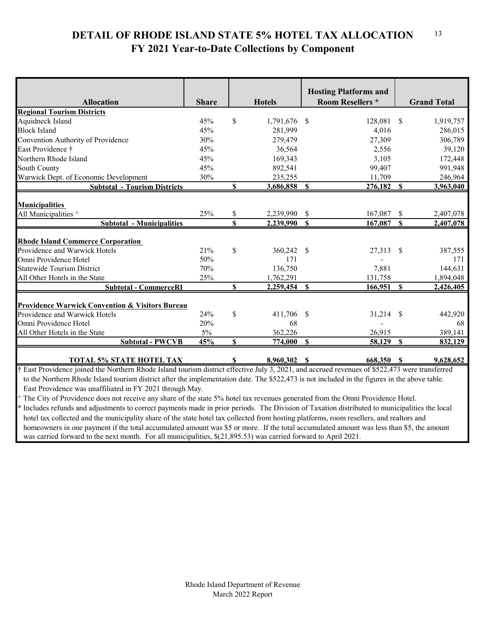#### **DETAIL OF RHODE ISLAND STATE 5% HOTEL TAX ALLOCATION FY 2021 Year-to-Date Collections by Component** 13

|                                                                                   |              |          |                        | <b>Hosting Platforms and</b>             |                        |                        |
|-----------------------------------------------------------------------------------|--------------|----------|------------------------|------------------------------------------|------------------------|------------------------|
| <b>Allocation</b>                                                                 | <b>Share</b> |          | <b>Hotels</b>          | <b>Room Resellers *</b>                  |                        | <b>Grand Total</b>     |
| <b>Regional Tourism Districts</b>                                                 |              |          |                        |                                          |                        |                        |
| Aquidneck Island                                                                  | 45%          | \$       | 1,791,676              | 128,081<br><sup>\$</sup>                 | <sup>\$</sup>          | 1,919,757              |
| <b>Block Island</b>                                                               | 45%          |          | 281,999                | 4,016                                    |                        | 286,015                |
| Convention Authority of Providence                                                | 30%          |          | 279,479                | 27,309                                   |                        | 306,789                |
| East Providence †                                                                 | 45%          |          | 36,564                 | 2,556                                    |                        | 39,120                 |
| Northern Rhode Island                                                             | 45%          |          | 169,343                | 3,105                                    |                        | 172,448                |
| <b>South County</b>                                                               | 45%          |          | 892,541                | 99,407                                   |                        | 991,948                |
| Warwick Dept. of Economic Development                                             | 30%          |          | 235,255                | 11,709                                   |                        | 246,964                |
| <b>Subtotal - Tourism Districts</b>                                               |              | \$       | 3,686,858              | 276,182<br>S                             | $\mathbf{s}$           | 3,963,040              |
| <b>Municipalities</b><br>All Municipalities ^<br><b>Subtotal - Municipalities</b> | 25%          | \$<br>\$ | 2,239,990<br>2,239,990 | <sup>\$</sup><br>167,087<br>167,087<br>S | <sup>\$</sup><br>\$.   | 2,407,078<br>2,407,078 |
|                                                                                   |              |          |                        |                                          |                        |                        |
| <b>Rhode Island Commerce Corporation</b>                                          |              |          |                        |                                          |                        |                        |
| Providence and Warwick Hotels                                                     | 21%          | \$       | 360,242                | 27,313<br>-S                             | -S                     | 387,555                |
| Omni Providence Hotel                                                             | 50%          |          | 171                    |                                          |                        | 171                    |
| <b>Statewide Tourism District</b>                                                 | 70%          |          | 136,750                | 7,881                                    |                        | 144,631                |
| All Other Hotels in the State                                                     | 25%          |          | 1,762,291              | 131,758                                  |                        | 1,894,048              |
| <b>Subtotal - CommerceRI</b>                                                      |              | \$       | 2,259,454              | <b>S</b><br>166,951                      | $\mathbf{s}$           | 2,426,405              |
|                                                                                   |              |          |                        |                                          |                        |                        |
| <b>Providence Warwick Convention &amp; Visitors Bureau</b>                        |              |          |                        |                                          |                        |                        |
| Providence and Warwick Hotels                                                     | 24%          | \$       | 411,706                | 31,214<br>-S                             | - \$                   | 442,920                |
| Omni Providence Hotel                                                             | 20%          |          | 68                     |                                          |                        | 68                     |
| All Other Hotels in the State                                                     | $5\%$        |          | 362,226                | 26,915                                   |                        | 389,141                |
| <b>Subtotal - PWCVB</b>                                                           | 45%          | \$       | 774,000                | 58,129<br>\$                             | $\mathbf{\mathcal{S}}$ | 832,129                |
|                                                                                   |              |          |                        |                                          |                        |                        |

**TOTAL 5% STATE HOTEL TAX \$ 8,960,302 \$ 668,350 \$ 9,628,652** † East Providence joined the Northern Rhode Island tourism district effective July 3, 2021, and accrued revenues of \$522,473 were transferred to the Northern Rhode Island tourism district after the implementation date. The \$522,473 is not included in the figures in the above table. East Providence was unaffiliated in FY 2021 through May.

^ The City of Providence does not receive any share of the state 5% hotel tax revenues generated from the Omni Providence Hotel.

\* Includes refunds and adjustments to correct payments made in prior periods. The Division of Taxation distributed to municipalities the local hotel tax collected and the municipality share of the state hotel tax collected from hosting platforms, room resellers, and realtors and homeowners in one payment if the total accumulated amount was \$5 or more. If the total accumulated amount was less than \$5, the amount was carried forward to the next month. For all municipalities, \$(21,895.53) was carried forward to April 2021.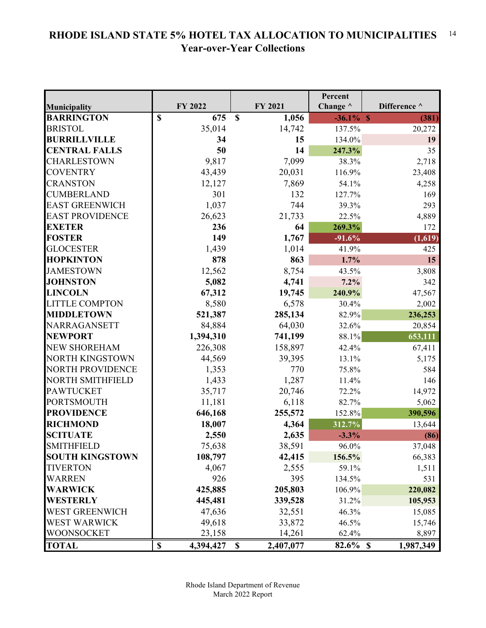#### **RHODE ISLAND STATE 5% HOTEL TAX ALLOCATION TO MUNICIPALITIES Year-over-Year Collections** 14

|                         |                                        |                                        | Percent         |              |
|-------------------------|----------------------------------------|----------------------------------------|-----------------|--------------|
| <b>Municipality</b>     | FY 2022                                | FY 2021                                | Change $\wedge$ | Difference ^ |
| <b>BARRINGTON</b>       | $\mathbf S$<br>675                     | $\mathbf S$<br>1,056                   | $-36.1\%$ \$    | (381)        |
| <b>BRISTOL</b>          | 35,014                                 | 14,742                                 | 137.5%          | 20,272       |
| <b>BURRILLVILLE</b>     | 34                                     | 15                                     | 134.0%          | 19           |
| <b>CENTRAL FALLS</b>    | 50                                     | 14                                     | 247.3%          | 35           |
| <b>CHARLESTOWN</b>      | 9,817                                  | 7,099                                  | 38.3%           | 2,718        |
| <b>COVENTRY</b>         | 43,439                                 | 20,031                                 | 116.9%          | 23,408       |
| <b>CRANSTON</b>         | 12,127                                 | 7,869                                  | 54.1%           | 4,258        |
| <b>CUMBERLAND</b>       | 301                                    | 132                                    | 127.7%          | 169          |
| <b>EAST GREENWICH</b>   | 1,037                                  | 744                                    | 39.3%           | 293          |
| <b>EAST PROVIDENCE</b>  | 26,623                                 | 21,733                                 | 22.5%           | 4,889        |
| <b>EXETER</b>           | 236                                    | 64                                     | 269.3%          | 172          |
| <b>FOSTER</b>           | 149                                    | 1,767                                  | $-91.6%$        | (1,619)      |
| <b>GLOCESTER</b>        | 1,439                                  | 1,014                                  | 41.9%           | 425          |
| <b>HOPKINTON</b>        | 878                                    | 863                                    | 1.7%            | 15           |
| <b>JAMESTOWN</b>        | 12,562                                 | 8,754                                  | 43.5%           | 3,808        |
| <b>JOHNSTON</b>         | 5,082                                  | 4,741                                  | 7.2%            | 342          |
| <b>LINCOLN</b>          | 67,312                                 | 19,745                                 | 240.9%          | 47,567       |
| <b>LITTLE COMPTON</b>   | 8,580                                  | 6,578                                  | 30.4%           | 2,002        |
| <b>MIDDLETOWN</b>       | 521,387                                | 285,134                                | 82.9%           | 236,253      |
| NARRAGANSETT            | 84,884                                 | 64,030                                 | 32.6%           | 20,854       |
| <b>NEWPORT</b>          | 1,394,310                              | 741,199                                | 88.1%           | 653,111      |
| <b>NEW SHOREHAM</b>     | 226,308                                | 158,897                                | 42.4%           | 67,411       |
| <b>NORTH KINGSTOWN</b>  | 44,569                                 | 39,395                                 | 13.1%           | 5,175        |
| <b>NORTH PROVIDENCE</b> | 1,353                                  | 770                                    | 75.8%           | 584          |
| <b>NORTH SMITHFIELD</b> | 1,433                                  | 1,287                                  | 11.4%           | 146          |
| <b>PAWTUCKET</b>        | 35,717                                 | 20,746                                 | 72.2%           | 14,972       |
| <b>PORTSMOUTH</b>       | 11,181                                 | 6,118                                  | 82.7%           | 5,062        |
| <b>PROVIDENCE</b>       | 646,168                                | 255,572                                | 152.8%          | 390,596      |
| <b>RICHMOND</b>         | 18,007                                 | 4,364                                  | 312.7%          | 13,644       |
| <b>SCITUATE</b>         | 2,550                                  | 2,635                                  | $-3.3%$         | (86)         |
| <b>SMITHFIELD</b>       | 75,638                                 | 38,591                                 | 96.0%           | 37,048       |
| <b>SOUTH KINGSTOWN</b>  | 108,797                                | 42,415                                 | 156.5%          | 66,383       |
| TIVERTON                | 4,067                                  | 2,555                                  | 59.1%           | 1,511        |
| <b>WARREN</b>           | 926                                    | 395                                    | 134.5%          | 531          |
| WARWICK                 | 425,885                                | 205,803                                | 106.9%          | 220,082      |
| <b>WESTERLY</b>         | 445,481                                | 339,528                                | 31.2%           | 105,953      |
| WEST GREENWICH          | 47,636                                 | 32,551                                 | 46.3%           | 15,085       |
| <b>WEST WARWICK</b>     | 49,618                                 | 33,872                                 | 46.5%           | 15,746       |
| WOONSOCKET              | 23,158                                 | 14,261                                 | 62.4%           | 8,897        |
| <b>TOTAL</b>            | $\boldsymbol{\mathsf{S}}$<br>4,394,427 | 2,407,077<br>$\boldsymbol{\mathsf{S}}$ | $82.6\%$ \$     | 1,987,349    |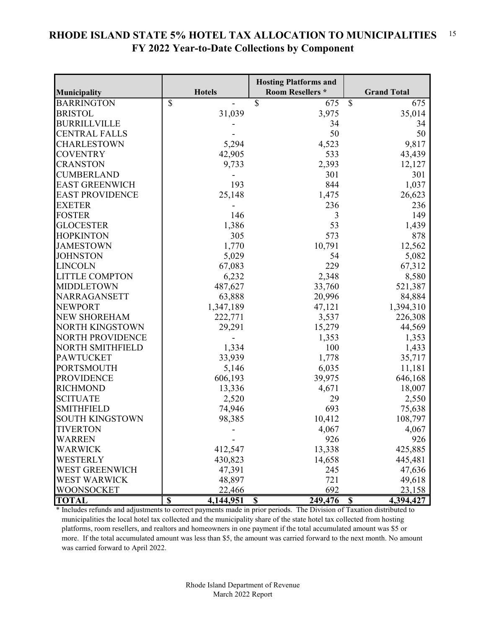#### **RHODE ISLAND STATE 5% HOTEL TAX ALLOCATION TO MUNICIPALITIES FY 2022 Year-to-Date Collections by Component** 15

|                         |                                      | <b>Hosting Platforms and</b>         |                          |
|-------------------------|--------------------------------------|--------------------------------------|--------------------------|
| Municipality            | <b>Hotels</b>                        | <b>Room Resellers *</b>              | <b>Grand Total</b>       |
| <b>BARRINGTON</b>       | $\overline{\mathbb{S}}$              | $\overline{\mathcal{S}}$<br>675      | $\mathbb{S}$<br>675      |
| <b>BRISTOL</b>          | 31,039                               | 3,975                                | 35,014                   |
| <b>BURRILLVILLE</b>     |                                      | 34                                   | 34                       |
| <b>CENTRAL FALLS</b>    |                                      | 50                                   | 50                       |
| <b>CHARLESTOWN</b>      | 5,294                                | 4,523                                | 9,817                    |
| <b>COVENTRY</b>         | 42,905                               | 533                                  | 43,439                   |
| <b>CRANSTON</b>         | 9,733                                | 2,393                                | 12,127                   |
| <b>CUMBERLAND</b>       |                                      | 301                                  | 301                      |
| <b>EAST GREENWICH</b>   | 193                                  | 844                                  | 1,037                    |
| <b>EAST PROVIDENCE</b>  | 25,148                               | 1,475                                | 26,623                   |
| <b>EXETER</b>           |                                      | 236                                  | 236                      |
| <b>FOSTER</b>           | 146                                  | 3                                    | 149                      |
| <b>GLOCESTER</b>        | 1,386                                | 53                                   | 1,439                    |
| <b>HOPKINTON</b>        | 305                                  | 573                                  | 878                      |
| <b>JAMESTOWN</b>        | 1,770                                | 10,791                               | 12,562                   |
| <b>JOHNSTON</b>         | 5,029                                | 54                                   | 5,082                    |
| <b>LINCOLN</b>          | 67,083                               | 229                                  | 67,312                   |
| <b>LITTLE COMPTON</b>   | 6,232                                | 2,348                                | 8,580                    |
| <b>MIDDLETOWN</b>       | 487,627                              | 33,760                               | 521,387                  |
| NARRAGANSETT            | 63,888                               | 20,996                               | 84,884                   |
| <b>NEWPORT</b>          | 1,347,189                            | 47,121                               | 1,394,310                |
| <b>NEW SHOREHAM</b>     | 222,771                              | 3,537                                | 226,308                  |
| <b>NORTH KINGSTOWN</b>  | 29,291                               | 15,279                               | 44,569                   |
| <b>NORTH PROVIDENCE</b> |                                      | 1,353                                | 1,353                    |
| <b>NORTH SMITHFIELD</b> | 1,334                                | 100                                  | 1,433                    |
| <b>PAWTUCKET</b>        | 33,939                               | 1,778                                | 35,717                   |
| <b>PORTSMOUTH</b>       | 5,146                                | 6,035                                | 11,181                   |
| <b>PROVIDENCE</b>       | 606,193                              | 39,975                               | 646,168                  |
| <b>RICHMOND</b>         | 13,336                               | 4,671                                | 18,007                   |
| <b>SCITUATE</b>         | 2,520                                | 29                                   | 2,550                    |
| <b>SMITHFIELD</b>       | 74,946                               | 693                                  | 75,638                   |
| SOUTH KINGSTOWN         | 98,385                               | 10,412                               | 108,797                  |
| <b>TIVERTON</b>         |                                      | 4,067                                | 4,067                    |
| <b>WARREN</b>           |                                      | 926                                  | 926                      |
| <b>WARWICK</b>          | 412,547                              | 13,338                               | 425,885                  |
| <b>WESTERLY</b>         | 430,823                              | 14,658                               | 445,481                  |
| <b>WEST GREENWICH</b>   | 47,391                               | 245                                  | 47,636                   |
| <b>WEST WARWICK</b>     | 48,897                               | 721                                  | 49,618                   |
| <b>WOONSOCKET</b>       | 22,466                               | 692                                  | 23,158                   |
| <b>TOTAL</b>            | $\overline{\mathbf{s}}$<br>4,144,951 | $\boldsymbol{\mathsf{S}}$<br>249,476 | $\mathbf S$<br>4,394,427 |

\* Includes refunds and adjustments to correct payments made in prior periods. The Division of Taxation distributed to municipalities the local hotel tax collected and the municipality share of the state hotel tax collected from hosting platforms, room resellers, and realtors and homeowners in one payment if the total accumulated amount was \$5 or more. If the total accumulated amount was less than \$5, the amount was carried forward to the next month. No amount was carried forward to April 2022.